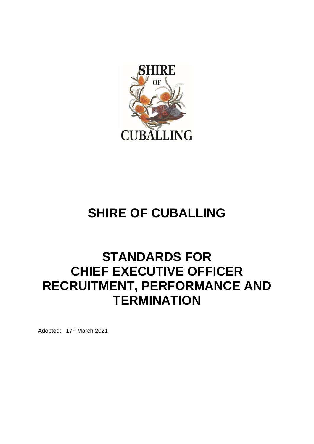

# **SHIRE OF CUBALLING**

## **STANDARDS FOR CHIEF EXECUTIVE OFFICER RECRUITMENT, PERFORMANCE AND TERMINATION**

Adopted: 17th March 2021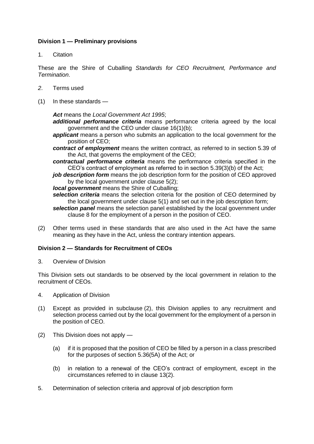### **Division 1 — Preliminary provisions**

1. Citation

These are the Shire of Cuballing *Standards for CEO Recruitment, Performance and Termination*.

- *2*. Terms used
- (1) In these standards —

*Act* means the *Local Government Act 1995*;

- *additional performance criteria* means performance criteria agreed by the local government and the CEO under clause 16(1)(b);
- *applicant* means a person who submits an application to the local government for the position of CEO;
- *contract of employment* means the written contract, as referred to in section 5.39 of the Act, that governs the employment of the CEO;
- *contractual performance criteria* means the performance criteria specified in the CEO's contract of employment as referred to in section 5.39(3)(b) of the Act;
- *job description form* means the job description form for the position of CEO approved by the local government under clause 5(2);

*local government* means the Shire of Cuballing;

- *selection criteria* means the selection criteria for the position of CEO determined by the local government under clause 5(1) and set out in the job description form;
- *selection panel* means the selection panel established by the local government under clause 8 for the employment of a person in the position of CEO.
- (2) Other terms used in these standards that are also used in the Act have the same meaning as they have in the Act, unless the contrary intention appears.

#### **Division 2 — Standards for Recruitment of CEOs**

3. Overview of Division

This Division sets out standards to be observed by the local government in relation to the recruitment of CEOs.

- 4. Application of Division
- (1) Except as provided in subclause (2), this Division applies to any recruitment and selection process carried out by the local government for the employment of a person in the position of CEO.
- (2) This Division does not apply
	- (a) if it is proposed that the position of CEO be filled by a person in a class prescribed for the purposes of section 5.36(5A) of the Act; or
	- (b) in relation to a renewal of the CEO's contract of employment, except in the circumstances referred to in clause 13(2).
- 5. Determination of selection criteria and approval of job description form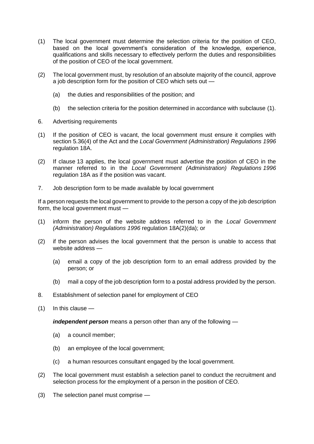- (1) The local government must determine the selection criteria for the position of CEO, based on the local government's consideration of the knowledge, experience, qualifications and skills necessary to effectively perform the duties and responsibilities of the position of CEO of the local government.
- (2) The local government must, by resolution of an absolute majority of the council, approve a job description form for the position of CEO which sets out —
	- (a) the duties and responsibilities of the position; and
	- (b) the selection criteria for the position determined in accordance with subclause (1).
- 6. Advertising requirements
- (1) If the position of CEO is vacant, the local government must ensure it complies with section 5.36(4) of the Act and the *Local Government (Administration) Regulations 1996* regulation 18A.
- (2) If clause 13 applies, the local government must advertise the position of CEO in the manner referred to in the *Local Government (Administration) Regulations 1996* regulation 18A as if the position was vacant.
- 7. Job description form to be made available by local government

If a person requests the local government to provide to the person a copy of the job description form, the local government must —

- (1) inform the person of the website address referred to in the *Local Government (Administration) Regulations 1996* regulation 18A(2)(da); or
- (2) if the person advises the local government that the person is unable to access that website address —
	- (a) email a copy of the job description form to an email address provided by the person; or
	- (b) mail a copy of the job description form to a postal address provided by the person.
- 8. Establishment of selection panel for employment of CEO
- $(1)$  In this clause —

*independent person* means a person other than any of the following —

- (a) a council member;
- (b) an employee of the local government;
- (c) a human resources consultant engaged by the local government.
- (2) The local government must establish a selection panel to conduct the recruitment and selection process for the employment of a person in the position of CEO.
- (3) The selection panel must comprise —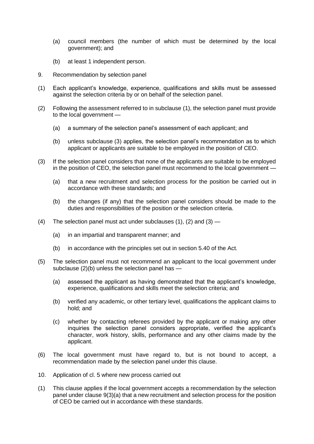- (a) council members (the number of which must be determined by the local government); and
- (b) at least 1 independent person.
- 9. Recommendation by selection panel
- (1) Each applicant's knowledge, experience, qualifications and skills must be assessed against the selection criteria by or on behalf of the selection panel.
- (2) Following the assessment referred to in subclause (1), the selection panel must provide to the local government —
	- (a) a summary of the selection panel's assessment of each applicant; and
	- (b) unless subclause (3) applies, the selection panel's recommendation as to which applicant or applicants are suitable to be employed in the position of CEO.
- (3) If the selection panel considers that none of the applicants are suitable to be employed in the position of CEO, the selection panel must recommend to the local government —
	- (a) that a new recruitment and selection process for the position be carried out in accordance with these standards; and
	- (b) the changes (if any) that the selection panel considers should be made to the duties and responsibilities of the position or the selection criteria.
- (4) The selection panel must act under subclauses  $(1)$ ,  $(2)$  and  $(3)$ 
	- (a) in an impartial and transparent manner; and
	- (b) in accordance with the principles set out in section 5.40 of the Act.
- (5) The selection panel must not recommend an applicant to the local government under subclause (2)(b) unless the selection panel has —
	- (a) assessed the applicant as having demonstrated that the applicant's knowledge, experience, qualifications and skills meet the selection criteria; and
	- (b) verified any academic, or other tertiary level, qualifications the applicant claims to hold; and
	- (c) whether by contacting referees provided by the applicant or making any other inquiries the selection panel considers appropriate, verified the applicant's character, work history, skills, performance and any other claims made by the applicant.
- (6) The local government must have regard to, but is not bound to accept, a recommendation made by the selection panel under this clause.
- 10. Application of cl. 5 where new process carried out
- (1) This clause applies if the local government accepts a recommendation by the selection panel under clause 9(3)(a) that a new recruitment and selection process for the position of CEO be carried out in accordance with these standards.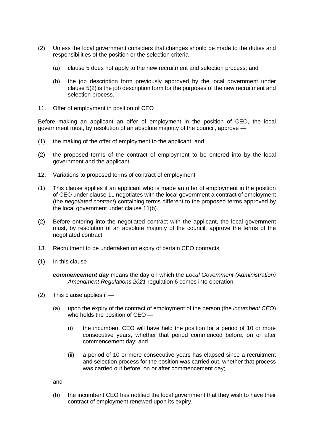- (2) Unless the local government considers that changes should be made to the duties and responsibilities of the position or the selection criteria —
	- (a) clause 5 does not apply to the new recruitment and selection process; and
	- (b) the job description form previously approved by the local government under clause 5(2) is the job description form for the purposes of the new recruitment and selection process.
- 11. Offer of employment in position of CEO

Before making an applicant an offer of employment in the position of CEO, the local government must, by resolution of an absolute majority of the council, approve —

- (1) the making of the offer of employment to the applicant; and
- (2) the proposed terms of the contract of employment to be entered into by the local government and the applicant.
- 12. Variations to proposed terms of contract of employment
- (1) This clause applies if an applicant who is made an offer of employment in the position of CEO under clause 11 negotiates with the local government a contract of employment (the *negotiated contract*) containing terms different to the proposed terms approved by the local government under clause 11(b).
- (2) Before entering into the negotiated contract with the applicant, the local government must, by resolution of an absolute majority of the council, approve the terms of the negotiated contract.
- 13. Recruitment to be undertaken on expiry of certain CEO contracts
- $(1)$  In this clause —

*commencement day* means the day on which the *Local Government (Administration) Amendment Regulations 2021* regulation 6 comes into operation.

- (2) This clause applies if
	- (a) upon the expiry of the contract of employment of the person (the *incumbent CEO*) who holds the position of CEO —
		- (i) the incumbent CEO will have held the position for a period of 10 or more consecutive years, whether that period commenced before, on or after commencement day; and
		- (ii) a period of 10 or more consecutive years has elapsed since a recruitment and selection process for the position was carried out, whether that process was carried out before, on or after commencement day;

and

(b) the incumbent CEO has notified the local government that they wish to have their contract of employment renewed upon its expiry.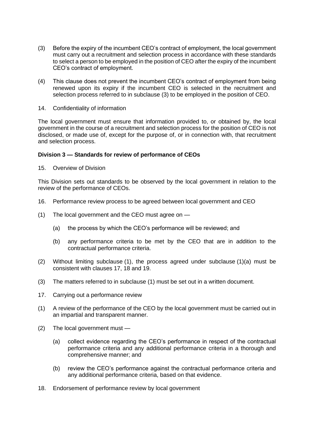- (3) Before the expiry of the incumbent CEO's contract of employment, the local government must carry out a recruitment and selection process in accordance with these standards to select a person to be employed in the position of CEO after the expiry of the incumbent CEO's contract of employment.
- (4) This clause does not prevent the incumbent CEO's contract of employment from being renewed upon its expiry if the incumbent CEO is selected in the recruitment and selection process referred to in subclause (3) to be employed in the position of CEO.
- 14. Confidentiality of information

The local government must ensure that information provided to, or obtained by, the local government in the course of a recruitment and selection process for the position of CEO is not disclosed, or made use of, except for the purpose of, or in connection with, that recruitment and selection process.

#### **Division 3 — Standards for review of performance of CEOs**

15. Overview of Division

This Division sets out standards to be observed by the local government in relation to the review of the performance of CEOs.

- 16. Performance review process to be agreed between local government and CEO
- (1) The local government and the CEO must agree on
	- (a) the process by which the CEO's performance will be reviewed; and
	- (b) any performance criteria to be met by the CEO that are in addition to the contractual performance criteria.
- (2) Without limiting subclause (1), the process agreed under subclause (1)(a) must be consistent with clauses 17, 18 and 19.
- (3) The matters referred to in subclause (1) must be set out in a written document.
- 17. Carrying out a performance review
- (1) A review of the performance of the CEO by the local government must be carried out in an impartial and transparent manner.
- (2) The local government must
	- (a) collect evidence regarding the CEO's performance in respect of the contractual performance criteria and any additional performance criteria in a thorough and comprehensive manner; and
	- (b) review the CEO's performance against the contractual performance criteria and any additional performance criteria, based on that evidence.
- 18. Endorsement of performance review by local government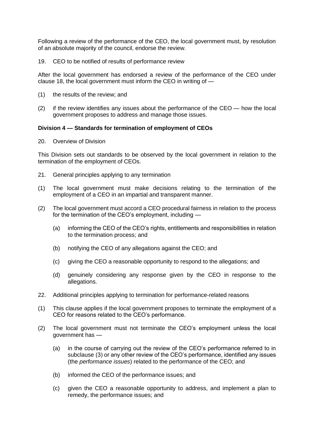Following a review of the performance of the CEO, the local government must, by resolution of an absolute majority of the council, endorse the review.

19. CEO to be notified of results of performance review

After the local government has endorsed a review of the performance of the CEO under clause 18, the local government must inform the CEO in writing of —

- (1) the results of the review; and
- (2) if the review identifies any issues about the performance of the CEO how the local government proposes to address and manage those issues.

#### **Division 4 — Standards for termination of employment of CEOs**

20. Overview of Division

This Division sets out standards to be observed by the local government in relation to the termination of the employment of CEOs.

- 21. General principles applying to any termination
- (1) The local government must make decisions relating to the termination of the employment of a CEO in an impartial and transparent manner.
- (2) The local government must accord a CEO procedural fairness in relation to the process for the termination of the CEO's employment, including —
	- (a) informing the CEO of the CEO's rights, entitlements and responsibilities in relation to the termination process; and
	- (b) notifying the CEO of any allegations against the CEO; and
	- (c) giving the CEO a reasonable opportunity to respond to the allegations; and
	- (d) genuinely considering any response given by the CEO in response to the allegations.
- 22. Additional principles applying to termination for performance-related reasons
- (1) This clause applies if the local government proposes to terminate the employment of a CEO for reasons related to the CEO's performance.
- (2) The local government must not terminate the CEO's employment unless the local government has —
	- (a) in the course of carrying out the review of the CEO's performance referred to in subclause (3) or any other review of the CEO's performance, identified any issues (the *performance issues*) related to the performance of the CEO; and
	- (b) informed the CEO of the performance issues; and
	- (c) given the CEO a reasonable opportunity to address, and implement a plan to remedy, the performance issues; and